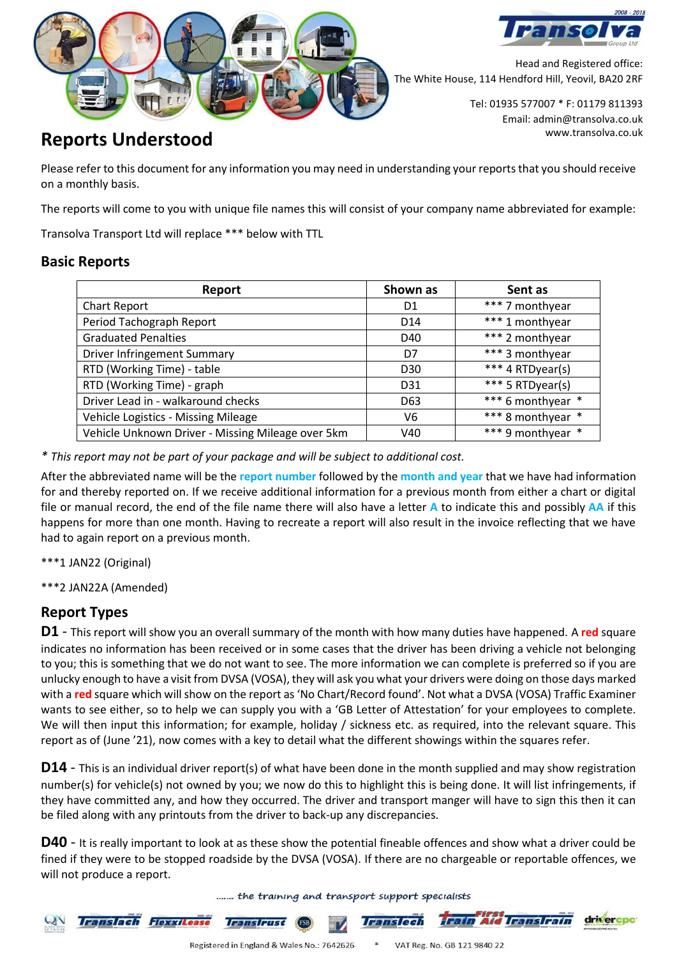



Head and Registered office: The White House, 114 Hendford Hill, Yeovil, BA20 2RF

> Tel: 01935 577007 \* F: 01179 811393 Email: admin@transolva.co.uk

## www.transolva.co.uk **Reports Understood**

Please refer to this document for any information you may need in understanding your reports that you should receive on a monthly basis.

The reports will come to you with unique file names this will consist of your company name abbreviated for example:

Transolva Transport Ltd will replace \*\*\* below with TTL

#### **Basic Reports**

| Report                                            | Shown as        | Sent as           |
|---------------------------------------------------|-----------------|-------------------|
| Chart Report                                      | D <sub>1</sub>  | *** 7 monthyear   |
| Period Tachograph Report                          | D <sub>14</sub> | *** 1 monthyear   |
| <b>Graduated Penalties</b>                        | D40             | *** 2 monthyear   |
| <b>Driver Infringement Summary</b>                | D7              | *** 3 monthyear   |
| RTD (Working Time) - table                        | D <sub>30</sub> | *** 4 RTDyear(s)  |
| RTD (Working Time) - graph                        | D31             | *** 5 RTDyear(s)  |
| Driver Lead in - walkaround checks                | D <sub>63</sub> | *** 6 monthyear * |
| Vehicle Logistics - Missing Mileage               | V6              | *** 8 monthyear * |
| Vehicle Unknown Driver - Missing Mileage over 5km | V40             | *** 9 monthyear   |

*\* This report may not be part of your package and will be subject to additional cost.*

After the abbreviated name will be the **report number** followed by the **month and year** that we have had information for and thereby reported on. If we receive additional information for a previous month from either a chart or digital file or manual record, the end of the file name there will also have a letter **A** to indicate this and possibly **AA** if this happens for more than one month. Having to recreate a report will also result in the invoice reflecting that we have had to again report on a previous month.

\*\*\*1 JAN22 (Original)

\*\*\*2 JAN22A (Amended)

### **Report Types**

**D1** - This report will show you an overall summary of the month with how many duties have happened. A **red** square indicates no information has been received or in some cases that the driver has been driving a vehicle not belonging to you; this is something that we do not want to see. The more information we can complete is preferred so if you are unlucky enough to have a visit from DVSA (VOSA), they will ask you what your drivers were doing on those days marked with a **red** square which will show on the report as 'No Chart/Record found'. Not what a DVSA (VOSA) Traffic Examiner wants to see either, so to help we can supply you with a 'GB Letter of Attestation' for your employees to complete. We will then input this information; for example, holiday / sickness etc. as required, into the relevant square. This report as of (June '21), now comes with a key to detail what the different showings within the squares refer.

**D14** - This is an individual driver report(s) of what have been done in the month supplied and may show registration number(s) for vehicle(s) not owned by you; we now do this to highlight this is being done. It will list infringements, if they have committed any, and how they occurred. The driver and transport manger will have to sign this then it can be filed along with any printouts from the driver to back-up any discrepancies.

**D40** - It is really important to look at as these show the potential fineable offences and show what a driver could be fined if they were to be stopped roadside by the DVSA (VOSA). If there are no chargeable or reportable offences, we will not produce a report.

....... the training and transport support specialists